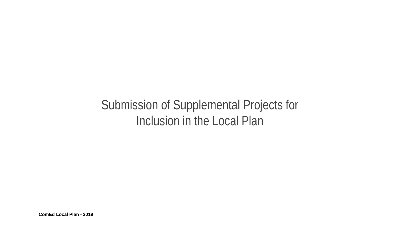# Submission of Supplemental Projects for Inclusion in the Local Plan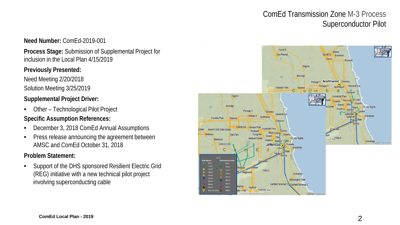# ComEd Transmission Zone M-3 Process Superconductor Pilot

#### **Need Number:** ComEd-2019-001

**Process Stage:** Submission of Supplemental Project for inclusion in the Local Plan 4/15/2019

#### **Previously Presented:**

Need Meeting 2/20/2018 Solution Meeting 3/25/2019

# **Supplemental Project Driver:**

• Other – Technological Pilot Project

## **Specific Assumption References:**

- December 3, 2018 ComEd Annual Assumptions
- Press release announcing the agreement between AMSC and ComEd October 31, 2018

## **Problem Statement:**

• Support of the DHS sponsored Resilient Electric Grid (REG) initiative with a new technical pilot project involving superconducting cable

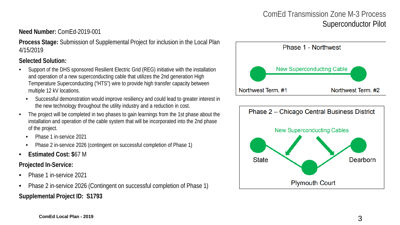# ComEd Transmission Zone M-3 Process Superconductor Pilot

## **Need Number:** ComEd-2019-001

**Process Stage:** Submission of Supplemental Project for inclusion in the Local Plan 4/15/2019

**Selected Solution:** 

- Support of the DHS sponsored Resilient Electric Grid (REG) initiative with the installation and operation of a new superconducting cable that utilizes the 2nd generation High Temperature Superconducting ("HTS") wire to provide high transfer capacity between multiple 12 kV locations.
	- Successful demonstration would improve resiliency and could lead to greater interest in the new technology throughout the utility industry and a reduction in cost.
- The project will be completed in two phases to gain learnings from the 1st phase about the installation and operation of the cable system that will be incorporated into the 2nd phase of the project.
	- Phase 1 in-service 2021
	- Phase 2 in-service 2026 (contingent on successful completion of Phase 1)
- **Estimated Cost: \$**67 M

**Projected In-Service:** 

- Phase 1 in-service 2021
- Phase 2 in-service 2026 (Contingent on successful completion of Phase 1) **Supplemental Project ID: S1793**



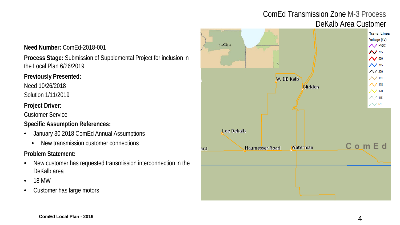# ComEd Transmission Zone M-3 Process DeKalb Area Customer

#### **Need Number:** ComEd-2018-001

**Process Stage:** Submission of Supplemental Project for inclusion in the Local Plan 6/26/2019

#### **Previously Presented:**

Need 10/26/2018

Solution 1/11/2019

#### **Project Driver:**

Customer Service

#### **Specific Assumption References:**

- January 30 2018 ComEd Annual Assumptions
	- New transmission customer connections

- New customer has requested transmission interconnection in the DeKalb area
- 18 MW
- Customer has large motors

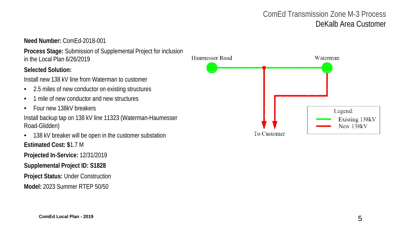# ComEd Transmission Zone M-3 Process DeKalb Area Customer

**Need Number:** ComEd-2018-001

**Process Stage:** Submission of Supplemental Project for inclusion in the Local Plan 6/26/2019

#### **Selected Solution:**

Install new 138 kV line from Waterman to customer

- 2.5 miles of new conductor on existing structures
- 1 mile of new conductor and new structures
- Four new 138kV breakers

Install backup tap on 138 kV line 11323 (Waterman-Haumesser Road-Glidden)

• 138 kV breaker will be open in the customer substation **Estimated Cost: \$**1.7 M

**Projected In-Service:** 12/31/2019

**Supplemental Project ID: S1828**

**Project Status:** Under Construction

**Model:** 2023 Summer RTEP 50/50

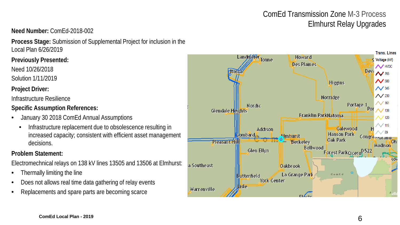# ComEd Transmission Zone M-3 Process Elmhurst Relay Upgrades **Need Number:** ComEd-2018-002

**Process Stage:** Submission of Supplemental Project for inclusion in the Local Plan 6/26/2019

**Previously Presented:**

Need 10/26/2018

Solution 1/11/2019

## **Project Driver:**

Infrastructure Resilience

**Specific Assumption References:**

- January 30 2018 ComEd Annual Assumptions
	- Infrastructure replacement due to obsolescence resulting in increased capacity; consistent with efficient asset management decisions.

## **Problem Statement:**

Electromechnical relays on 138 kV lines 13505 and 13506 at Elmhurst:

- Thermally limiting the line
- Does not allows real time data gathering of relay events
- Replacements and spare parts are becoming scarce

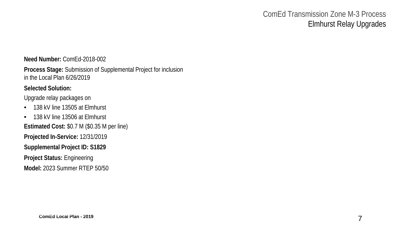# ComEd Transmission Zone M-3 Process Elmhurst Relay Upgrades

**Need Number:** ComEd-2018-002

**Process Stage:** Submission of Supplemental Project for inclusion in the Local Plan 6/26/2019

#### **Selected Solution:**

Upgrade relay packages on

- 138 kV line 13505 at Elmhurst
- 138 kV line 13506 at Elmhurst **Estimated Cost:** \$0.7 M (\$0.35 M per line) **Projected In-Service:** 12/31/2019 **Supplemental Project ID: S1829 Project Status:** Engineering

**Model:** 2023 Summer RTEP 50/50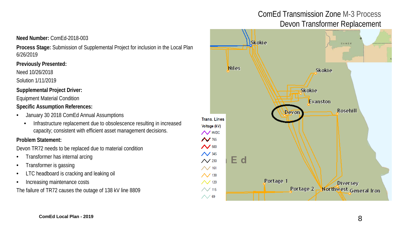# ComEd Transmission Zone M-3 Process Devon Transformer Replacement

#### **Need Number:** ComEd-2018-003

**Process Stage:** Submission of Supplemental Project for inclusion in the Local Plan 6/26/2019

#### **Previously Presented:**

Need 10/26/2018

Solution 1/11/2019

#### **Supplemental Project Driver:**

Equipment Material Condition

#### **Specific Assumption References:**

- January 30 2018 ComEd Annual Assumptions
	- Infrastructure replacement due to obsolescence resulting in increased capacity; consistent with efficient asset management decisions.

#### **Problem Statement:**

Devon TR72 needs to be replaced due to material condition

- Transformer has internal arcing
- Transformer is gassing
- LTC headboard is cracking and leaking oil
- Increasing maintenance costs

The failure of TR72 causes the outage of 138 kV line 8809

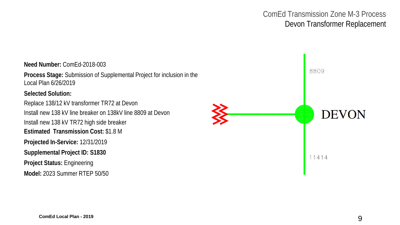# ComEd Transmission Zone M-3 Process Devon Transformer Replacement

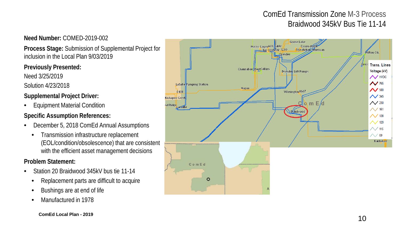# ComEd Transmission Zone M-3 Process Braidwood 345kV Bus Tie 11-14

## **Need Number:** COMED-2019-002

**Process Stage:** Submission of Supplemental Project for inclusion in the Local Plan 9/03/2019

## **Previously Presented:**

Need 3/25/2019

Solution 4/23/2018

# **Supplemental Project Driver:**

• Equipment Material Condition

# **Specific Assumption References:**

- December 5, 2018 ComEd Annual Assumptions
	- Transmission infrastructure replacement (EOL/condition/obsolescence) that are consistent with the efficient asset management decisions

- Station 20 Braidwood 345kV bus tie 11-14
	- Replacement parts are difficult to acquire
	- Bushings are at end of life
	- Manufactured in 1978

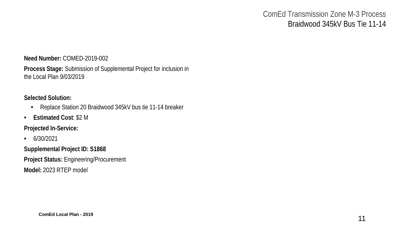# ComEd Transmission Zone M-3 Process Braidwood 345kV Bus Tie 11-14

#### **Need Number:** COMED-2019-002

**Process Stage:** Submission of Supplemental Project for inclusion in the Local Plan 9/03/2019

### **Selected Solution:**

- Replace Station 20 Braidwood 345kV bus tie 11-14 breaker
- **Estimated Cost**: \$2 M

**Projected In-Service:** 

• 6/30/2021

**Supplemental Project ID: S1868 Project Status:** Engineering/Procurement **Model:** 2023 RTEP model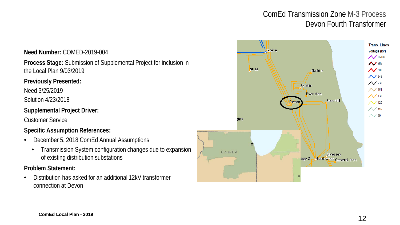# ComEd Transmission Zone M-3 Process Devon Fourth Transformer



• Distribution has asked for an additional 12kV transformer connection at Devon

the Local Plan 9/03/2019

**Previously Presented:**

Need 3/25/2019

Solution 4/23/2018

Customer Service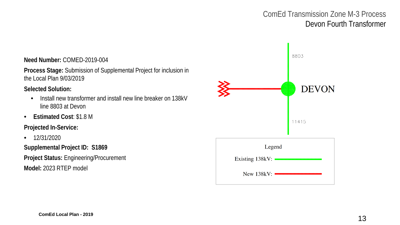# ComEd Transmission Zone M-3 Process Devon Fourth Transformer

#### **Need Number:** COMED-2019-004

**Process Stage:** Submission of Supplemental Project for inclusion in the Local Plan 9/03/2019

**Selected Solution:**

- Install new transformer and install new line breaker on 138kV line 8803 at Devon
- **Estimated Cost**: \$1.8 M

**Projected In-Service:** 

• 12/31/2020

**Supplemental Project ID: S1869 Project Status:** Engineering/Procurement **Model:** 2023 RTEP model

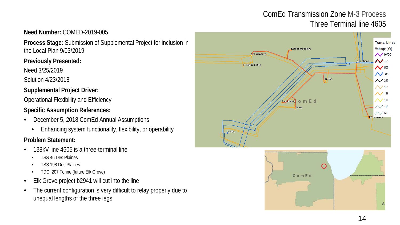# ComEd Transmission Zone M-3 Process Three Terminal line 4605

# **Need Number:** COMED-2019-005

**Process Stage:** Submission of Supplemental Project for inclusion in the Local Plan 9/03/2019

## **Previously Presented:**

Need 3/25/2019

Solution 4/23/2018

## **Supplemental Project Driver:**

Operational Flexibility and Efficiency

# **Specific Assumption References:**

- December 5, 2018 ComEd Annual Assumptions
	- Enhancing system functionality, flexibility, or operability

- 138kV line 4605 is a three-terminal line
	- TSS 46 Des Plaines
	- TSS 198 Des Plaines
	- TDC 207 Tonne (future Elk Grove)
- Elk Grove project b2941 will cut into the line
- The current configuration is very difficult to relay properly due to unequal lengths of the three legs



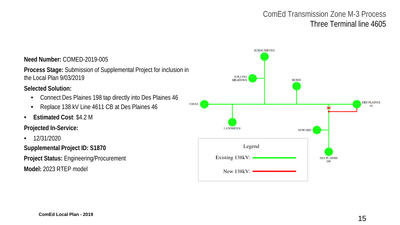# ComEd Transmission Zone M-3 Process Three Terminal line 4605

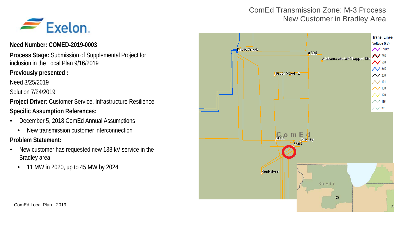# ComEd Transmission Zone: M-3 Process New Customer in Bradley Area



#### **Need Number: COMED-2019-0003**

**Process Stage:** Submission of Supplemental Project for inclusion in the Local Plan 9/16/2019

#### **Previously presented :**

Need 3/25/2019

Solution 7/24/2019

**Project Driver:** Customer Service, Infrastructure Resilience

### **Specific Assumption References:**

- December 5, 2018 ComEd Annual Assumptions
	- New transmission customer interconnection

- New customer has requested new 138 kV service in the Bradley area
	- 11 MW in 2020, up to 45 MW by 2024

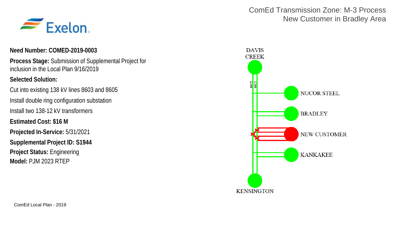

#### **Need Number: COMED-2019-0003**

**Process Stage:** Submission of Supplemental Project for inclusion in the Local Plan 9/16/2019

#### **Selected Solution:**

Cut into existing 138 kV lines 8603 and 8605 Install double ring configuration substation Install two 138-12 kV transformers **Estimated Cost: \$16 M Projected In-Service:** 5/31/2021 **Supplemental Project ID: S1944 Project Status:** Engineering **Model:** PJM 2023 RTEP

## ComEd Transmission Zone: M-3 Process New Customer in Bradley Area